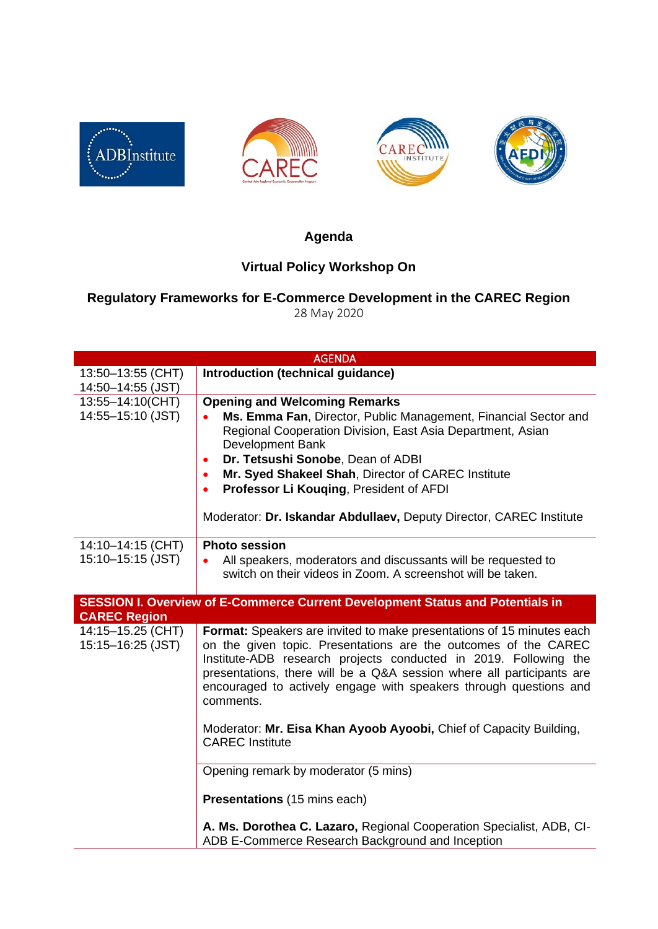







## **Agenda**

## **Virtual Policy Workshop On**

## **Regulatory Frameworks for E-Commerce Development in the CAREC Region** 28 May 2020

| <b>AGENDA</b>                                                                                         |                                                                                                                                                                                                                                                                                                                                                                                                                                                                         |  |
|-------------------------------------------------------------------------------------------------------|-------------------------------------------------------------------------------------------------------------------------------------------------------------------------------------------------------------------------------------------------------------------------------------------------------------------------------------------------------------------------------------------------------------------------------------------------------------------------|--|
| 13:50-13:55 (CHT)<br>14:50-14:55 (JST)                                                                | Introduction (technical guidance)                                                                                                                                                                                                                                                                                                                                                                                                                                       |  |
| 13:55-14:10(CHT)<br>14:55-15:10 (JST)                                                                 | <b>Opening and Welcoming Remarks</b><br>Ms. Emma Fan, Director, Public Management, Financial Sector and<br>$\bullet$<br>Regional Cooperation Division, East Asia Department, Asian<br><b>Development Bank</b><br>Dr. Tetsushi Sonobe, Dean of ADBI<br>٠<br>Mr. Syed Shakeel Shah, Director of CAREC Institute<br>Professor Li Kouging, President of AFDI<br>Moderator: Dr. Iskandar Abdullaev, Deputy Director, CAREC Institute                                         |  |
| 14:10-14:15 (CHT)<br>15:10-15:15 (JST)                                                                | <b>Photo session</b><br>All speakers, moderators and discussants will be requested to<br>switch on their videos in Zoom. A screenshot will be taken.                                                                                                                                                                                                                                                                                                                    |  |
| SESSION I. Overview of E-Commerce Current Development Status and Potentials in<br><b>CAREC Region</b> |                                                                                                                                                                                                                                                                                                                                                                                                                                                                         |  |
| 14:15-15.25 (CHT)<br>15:15-16:25 (JST)                                                                | Format: Speakers are invited to make presentations of 15 minutes each<br>on the given topic. Presentations are the outcomes of the CAREC<br>Institute-ADB research projects conducted in 2019. Following the<br>presentations, there will be a Q&A session where all participants are<br>encouraged to actively engage with speakers through questions and<br>comments.<br>Moderator: Mr. Eisa Khan Ayoob Ayoobi, Chief of Capacity Building,<br><b>CAREC</b> Institute |  |
|                                                                                                       | Opening remark by moderator (5 mins)                                                                                                                                                                                                                                                                                                                                                                                                                                    |  |
|                                                                                                       |                                                                                                                                                                                                                                                                                                                                                                                                                                                                         |  |
|                                                                                                       | Presentations (15 mins each)                                                                                                                                                                                                                                                                                                                                                                                                                                            |  |
|                                                                                                       | A. Ms. Dorothea C. Lazaro, Regional Cooperation Specialist, ADB, CI-<br>ADB E-Commerce Research Background and Inception                                                                                                                                                                                                                                                                                                                                                |  |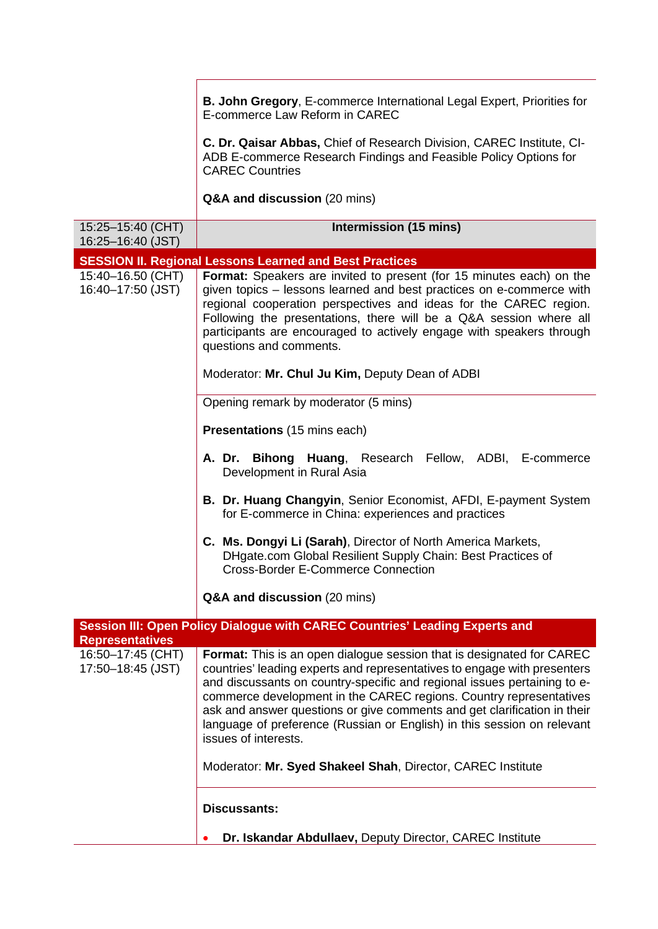**B. John Gregory**, E-commerce International Legal Expert, Priorities for E-commerce Law Reform in CAREC

**C. Dr. Qaisar Abbas,** Chief of Research Division, CAREC Institute, CI-ADB E-commerce Research Findings and Feasible Policy Options for CAREC Countries

**Q&A and discussion** (20 mins)

| 15:25-15:40 (CHT)<br>16:25-16:40 (JST) | Intermission (15 mins)                                                                                                                                                                                                                                                                                                                                                                                                                                                                    |
|----------------------------------------|-------------------------------------------------------------------------------------------------------------------------------------------------------------------------------------------------------------------------------------------------------------------------------------------------------------------------------------------------------------------------------------------------------------------------------------------------------------------------------------------|
|                                        | <b>SESSION II. Regional Lessons Learned and Best Practices</b>                                                                                                                                                                                                                                                                                                                                                                                                                            |
| 15:40-16.50 (CHT)<br>16:40-17:50 (JST) | Format: Speakers are invited to present (for 15 minutes each) on the<br>given topics – lessons learned and best practices on e-commerce with<br>regional cooperation perspectives and ideas for the CAREC region.<br>Following the presentations, there will be a Q&A session where all<br>participants are encouraged to actively engage with speakers through<br>questions and comments.                                                                                                |
|                                        | Moderator: Mr. Chul Ju Kim, Deputy Dean of ADBI                                                                                                                                                                                                                                                                                                                                                                                                                                           |
|                                        | Opening remark by moderator (5 mins)                                                                                                                                                                                                                                                                                                                                                                                                                                                      |
|                                        | <b>Presentations</b> (15 mins each)                                                                                                                                                                                                                                                                                                                                                                                                                                                       |
|                                        | A. Dr. Bihong Huang, Research Fellow, ADBI, E-commerce<br>Development in Rural Asia                                                                                                                                                                                                                                                                                                                                                                                                       |
|                                        | <b>B. Dr. Huang Changyin, Senior Economist, AFDI, E-payment System</b><br>for E-commerce in China: experiences and practices                                                                                                                                                                                                                                                                                                                                                              |
|                                        | C. Ms. Dongyi Li (Sarah), Director of North America Markets,<br>DHgate.com Global Resilient Supply Chain: Best Practices of<br><b>Cross-Border E-Commerce Connection</b>                                                                                                                                                                                                                                                                                                                  |
|                                        | Q&A and discussion (20 mins)                                                                                                                                                                                                                                                                                                                                                                                                                                                              |
| <b>Representatives</b>                 | Session III: Open Policy Dialogue with CAREC Countries' Leading Experts and                                                                                                                                                                                                                                                                                                                                                                                                               |
| 16:50-17:45 (CHT)<br>17:50-18:45 (JST) | <b>Format:</b> This is an open dialogue session that is designated for CAREC<br>countries' leading experts and representatives to engage with presenters<br>and discussants on country-specific and regional issues pertaining to e-<br>commerce development in the CAREC regions. Country representatives<br>ask and answer questions or give comments and get clarification in their<br>language of preference (Russian or English) in this session on relevant<br>issues of interests. |
|                                        | Moderator: Mr. Syed Shakeel Shah, Director, CAREC Institute                                                                                                                                                                                                                                                                                                                                                                                                                               |
|                                        | <b>Discussants:</b>                                                                                                                                                                                                                                                                                                                                                                                                                                                                       |
|                                        | Dr. Iskandar Abdullaev, Deputy Director, CAREC Institute                                                                                                                                                                                                                                                                                                                                                                                                                                  |